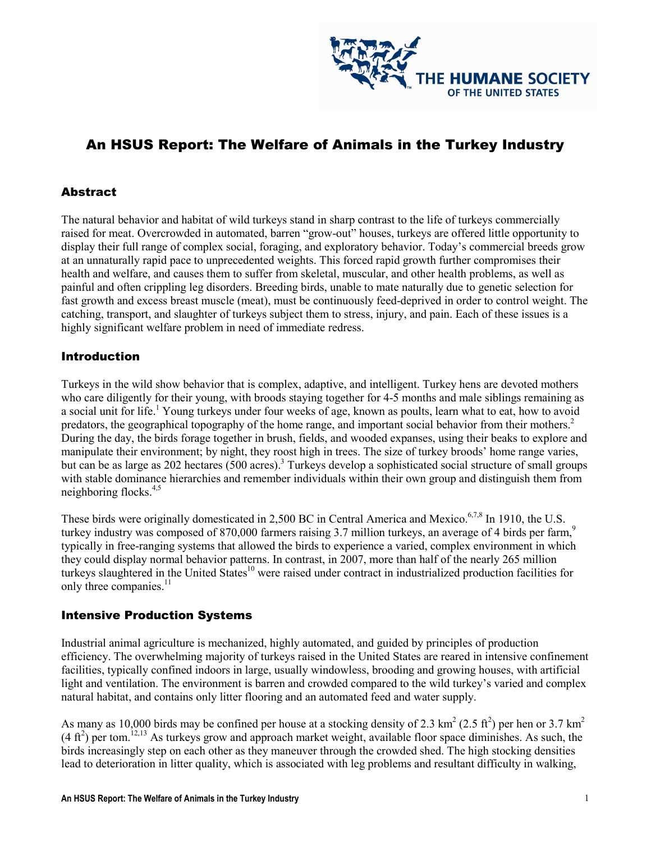

# An HSUS Report: The Welfare of Animals in the Turkey Industry

#### **Abstract**

The natural behavior and habitat of wild turkeys stand in sharp contrast to the life of turkeys commercially raised for meat. Overcrowded in automated, barren "grow-out" houses, turkeys are offered little opportunity to display their full range of complex social, foraging, and exploratory behavior. Today's commercial breeds grow at an unnaturally rapid pace to unprecedented weights. This forced rapid growth further compromises their health and welfare, and causes them to suffer from skeletal, muscular, and other health problems, as well as painful and often crippling leg disorders. Breeding birds, unable to mate naturally due to genetic selection for fast growth and excess breast muscle (meat), must be continuously feed-deprived in order to control weight. The catching, transport, and slaughter of turkeys subject them to stress, injury, and pain. Each of these issues is a highly significant welfare problem in need of immediate redress.

#### Introduction

Turkeys in the wild show behavior that is complex, adaptive, and intelligent. Turkey hens are devoted mothers who care diligently for their young, with broods staying together for 4-5 months and male siblings remaining as a social unit for life.<sup>1</sup> Young turkeys under four weeks of age, known as poults, learn what to eat, how to avoid predators, the geographical topography of the home range, and important social behavior from their mothers.<sup>2</sup> During the day, the birds forage together in brush, fields, and wooded expanses, using their beaks to explore and manipulate their environment; by night, they roost high in trees. The size of turkey broods' home range varies, but can be as large as 202 hectares (500 acres).<sup>3</sup> Turkeys develop a sophisticated social structure of small groups with stable dominance hierarchies and remember individuals within their own group and distinguish them from neighboring flocks. $4,5$ 

These birds were originally domesticated in 2,500 BC in Central America and Mexico.<sup>6,7,8</sup> In 1910, the U.S. turkey industry was composed of 870,000 farmers raising 3.7 million turkeys, an average of 4 birds per farm,<sup>9</sup> typically in free-ranging systems that allowed the birds to experience a varied, complex environment in which they could display normal behavior patterns. In contrast, in 2007, more than half of the nearly 265 million turkeys slaughtered in the United States<sup>10</sup> were raised under contract in industrialized production facilities for only three companies.<sup>11</sup>

#### Intensive Production Systems

Industrial animal agriculture is mechanized, highly automated, and guided by principles of production efficiency. The overwhelming majority of turkeys raised in the United States are reared in intensive confinement facilities, typically confined indoors in large, usually windowless, brooding and growing houses, with artificial light and ventilation. The environment is barren and crowded compared to the wild turkey's varied and complex natural habitat, and contains only litter flooring and an automated feed and water supply.

As many as 10,000 birds may be confined per house at a stocking density of 2.3 km<sup>2</sup> (2.5 ft<sup>2</sup>) per hen or 3.7 km<sup>2</sup>  $(4 \text{ ft}^2)$  per tom.<sup>12,13</sup> As turkeys grow and approach market weight, available floor space diminishes. As such, the birds increasingly step on each other as they maneuver through the crowded shed. The high stocking densities lead to deterioration in litter quality, which is associated with leg problems and resultant difficulty in walking,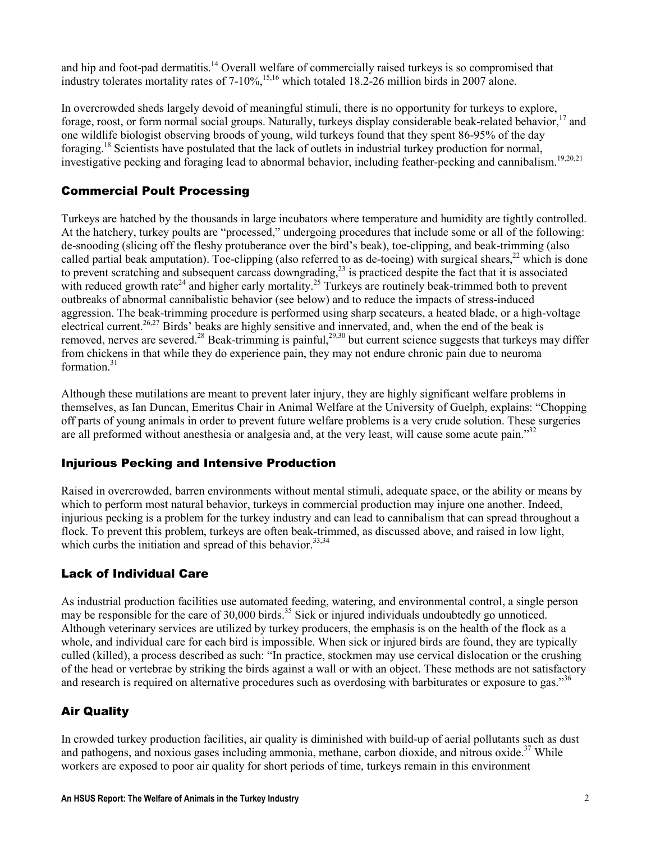and hip and foot-pad dermatitis.<sup>14</sup> Overall welfare of commercially raised turkeys is so compromised that industry tolerates mortality rates of  $7-10\%$ ,<sup>15,16</sup> which totaled 18.2-26 million birds in 2007 alone.

In overcrowded sheds largely devoid of meaningful stimuli, there is no opportunity for turkeys to explore, forage, roost, or form normal social groups. Naturally, turkeys display considerable beak-related behavior,<sup>17</sup> and one wildlife biologist observing broods of young, wild turkeys found that they spent 86-95% of the day foraging.<sup>18</sup> Scientists have postulated that the lack of outlets in industrial turkey production for normal, investigative pecking and foraging lead to abnormal behavior, including feather-pecking and cannibalism.<sup>19,20,21</sup>

### Commercial Poult Processing

Turkeys are hatched by the thousands in large incubators where temperature and humidity are tightly controlled. At the hatchery, turkey poults are "processed," undergoing procedures that include some or all of the following: de-snooding (slicing off the fleshy protuberance over the bird's beak), toe-clipping, and beak-trimming (also called partial beak amputation). Toe-clipping (also referred to as de-toeing) with surgical shears,  $^{22}$  which is done to prevent scratching and subsequent carcass downgrading, $^{23}$  is practiced despite the fact that it is associated with reduced growth rate<sup>24</sup> and higher early mortality.<sup>25</sup> Turkeys are routinely beak-trimmed both to prevent outbreaks of abnormal cannibalistic behavior (see below) and to reduce the impacts of stress-induced aggression. The beak-trimming procedure is performed using sharp secateurs, a heated blade, or a high-voltage electrical current.<sup>26,27</sup> Birds' beaks are highly sensitive and innervated, and, when the end of the beak is removed, nerves are severed.<sup>28</sup> Beak-trimming is painful,<sup>29,30</sup> but current science suggests that turkeys may differ from chickens in that while they do experience pain, they may not endure chronic pain due to neuroma formation. $31$ 

Although these mutilations are meant to prevent later injury, they are highly significant welfare problems in themselves, as Ian Duncan, Emeritus Chair in Animal Welfare at the University of Guelph, explains: "Chopping off parts of young animals in order to prevent future welfare problems is a very crude solution. These surgeries are all preformed without anesthesia or analgesia and, at the very least, will cause some acute pain."<sup>32</sup>

### Injurious Pecking and Intensive Production

Raised in overcrowded, barren environments without mental stimuli, adequate space, or the ability or means by which to perform most natural behavior, turkeys in commercial production may injure one another. Indeed, injurious pecking is a problem for the turkey industry and can lead to cannibalism that can spread throughout a flock. To prevent this problem, turkeys are often beak-trimmed, as discussed above, and raised in low light, which curbs the initiation and spread of this behavior.  $33,34$ 

### Lack of Individual Care

As industrial production facilities use automated feeding, watering, and environmental control, a single person may be responsible for the care of 30,000 birds.<sup>35</sup> Sick or injured individuals undoubtedly go unnoticed. Although veterinary services are utilized by turkey producers, the emphasis is on the health of the flock as a whole, and individual care for each bird is impossible. When sick or injured birds are found, they are typically culled (killed), a process described as such: "In practice, stockmen may use cervical dislocation or the crushing of the head or vertebrae by striking the birds against a wall or with an object. These methods are not satisfactory and research is required on alternative procedures such as overdosing with barbiturates or exposure to gas."<sup>36</sup>

### Air Quality

In crowded turkey production facilities, air quality is diminished with build-up of aerial pollutants such as dust and pathogens, and noxious gases including ammonia, methane, carbon dioxide, and nitrous oxide.<sup>37</sup> While workers are exposed to poor air quality for short periods of time, turkeys remain in this environment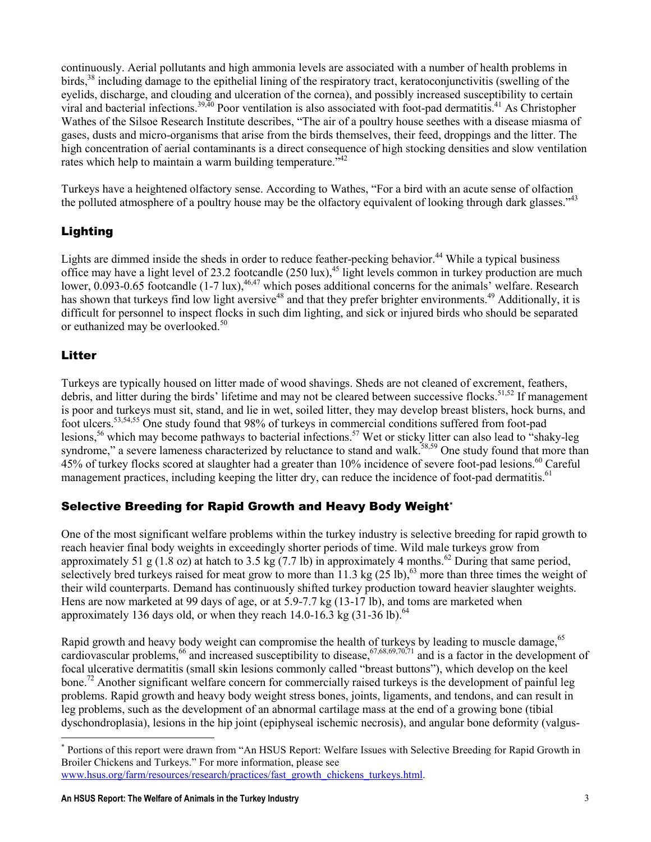continuously. Aerial pollutants and high ammonia levels are associated with a number of health problems in birds,<sup>38</sup> including damage to the epithelial lining of the respiratory tract, keratoconjunctivitis (swelling of the eyelids, discharge, and clouding and ulceration of the cornea), and possibly increased susceptibility to certain viral and bacterial infections.<sup>39,40</sup> Poor ventilation is also associated with foot-pad dermatitis.<sup>41</sup> As Christopher Wathes of the Silsoe Research Institute describes, "The air of a poultry house seethes with a disease miasma of gases, dusts and micro-organisms that arise from the birds themselves, their feed, droppings and the litter. The high concentration of aerial contaminants is a direct consequence of high stocking densities and slow ventilation rates which help to maintain a warm building temperature.<sup> $342$ </sup>

Turkeys have a heightened olfactory sense. According to Wathes, "For a bird with an acute sense of olfaction the polluted atmosphere of a poultry house may be the olfactory equivalent of looking through dark glasses."<sup>43</sup>

# Lighting

Lights are dimmed inside the sheds in order to reduce feather-pecking behavior.<sup>44</sup> While a typical business office may have a light level of 23.2 footcandle  $(250 \text{ lux})$ ,<sup>45</sup> light levels common in turkey production are much lower, 0.093-0.65 footcandle  $(1-7 \text{ lux})$ ,  $^{46,47}$  which poses additional concerns for the animals' welfare. Research has shown that turkeys find low light aversive<sup>48</sup> and that they prefer brighter environments.<sup>49</sup> Additionally, it is difficult for personnel to inspect flocks in such dim lighting, and sick or injured birds who should be separated or euthanized may be overlooked.<sup>50</sup>

#### Litter

 $\overline{a}$ 

Turkeys are typically housed on litter made of wood shavings. Sheds are not cleaned of excrement, feathers, debris, and litter during the birds' lifetime and may not be cleared between successive flocks.<sup>51,52</sup> If management is poor and turkeys must sit, stand, and lie in wet, soiled litter, they may develop breast blisters, hock burns, and foot ulcers.53,54,55 One study found that 98% of turkeys in commercial conditions suffered from foot-pad lesions,<sup>56</sup> which may become pathways to bacterial infections.<sup>57</sup> Wet or sticky litter can also lead to "shaky-leg syndrome," a severe lameness characterized by reluctance to stand and walk.<sup>58,59</sup> One study found that more than 45% of turkey flocks scored at slaughter had a greater than 10% incidence of severe foot-pad lesions.<sup>60</sup> Careful management practices, including keeping the litter dry, can reduce the incidence of foot-pad dermatitis.<sup>61</sup>

### Selective Breeding for Rapid Growth and Heavy Body Weight\*

One of the most significant welfare problems within the turkey industry is selective breeding for rapid growth to reach heavier final body weights in exceedingly shorter periods of time. Wild male turkeys grow from approximately 51 g (1.8 oz) at hatch to 3.5 kg (7.7 lb) in approximately 4 months.<sup>62</sup> During that same period, selectively bred turkeys raised for meat grow to more than 11.3 kg  $(25 \text{ lb})$ ,<sup>63</sup> more than three times the weight of their wild counterparts. Demand has continuously shifted turkey production toward heavier slaughter weights. Hens are now marketed at 99 days of age, or at 5.9-7.7 kg (13-17 lb), and toms are marketed when approximately 136 days old, or when they reach  $14.0\n-16.3$  kg  $(31\n-36)$  lb).<sup>64</sup>

Rapid growth and heavy body weight can compromise the health of turkeys by leading to muscle damage,<sup>65</sup> cardiovascular problems,  $^{66}$  and increased susceptibility to disease,  $^{67,68,69,70,71}$  and is a factor in the development of focal ulcerative dermatitis (small skin lesions commonly called "breast buttons"), which develop on the keel bone.<sup>72</sup> Another significant welfare concern for commercially raised turkeys is the development of painful leg problems. Rapid growth and heavy body weight stress bones, joints, ligaments, and tendons, and can result in leg problems, such as the development of an abnormal cartilage mass at the end of a growing bone (tibial dyschondroplasia), lesions in the hip joint (epiphyseal ischemic necrosis), and angular bone deformity (valgus-

<sup>\*</sup> Portions of this report were drawn from "An HSUS Report: Welfare Issues with Selective Breeding for Rapid Growth in Broiler Chickens and Turkeys." For more information, please see

www.hsus.org/farm/resources/research/practices/fast\_growth\_chickens\_turkeys.html.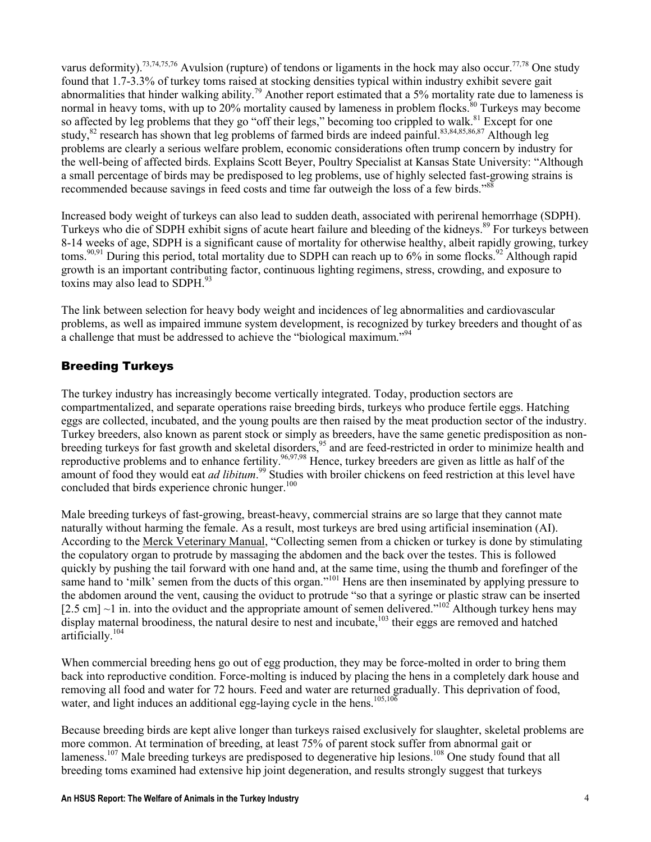varus deformity).<sup>73,74,75,76</sup> Avulsion (rupture) of tendons or ligaments in the hock may also occur.<sup>77,78</sup> One study found that 1.7-3.3% of turkey toms raised at stocking densities typical within industry exhibit severe gait abnormalities that hinder walking ability.<sup>79</sup> Another report estimated that a 5% mortality rate due to lameness is normal in heavy toms, with up to 20% mortality caused by lameness in problem flocks.<sup>80</sup> Turkeys may become so affected by leg problems that they go "off their legs," becoming too crippled to walk.<sup>81</sup> Except for one study,<sup>82</sup> research has shown that leg problems of farmed birds are indeed painful.<sup>83,84,85,86,87</sup> Although leg problems are clearly a serious welfare problem, economic considerations often trump concern by industry for the well-being of affected birds. Explains Scott Beyer, Poultry Specialist at Kansas State University: "Although a small percentage of birds may be predisposed to leg problems, use of highly selected fast-growing strains is recommended because savings in feed costs and time far outweigh the loss of a few birds."<sup>88</sup>

Increased body weight of turkeys can also lead to sudden death, associated with perirenal hemorrhage (SDPH). Turkeys who die of SDPH exhibit signs of acute heart failure and bleeding of the kidneys.<sup>89</sup> For turkeys between 8-14 weeks of age, SDPH is a significant cause of mortality for otherwise healthy, albeit rapidly growing, turkey toms.<sup>90,91</sup> During this period, total mortality due to SDPH can reach up to  $6\%$  in some flocks.<sup>92</sup> Although rapid growth is an important contributing factor, continuous lighting regimens, stress, crowding, and exposure to toxins may also lead to SDPH.<sup>93</sup>

The link between selection for heavy body weight and incidences of leg abnormalities and cardiovascular problems, as well as impaired immune system development, is recognized by turkey breeders and thought of as a challenge that must be addressed to achieve the "biological maximum."<sup>94</sup>

### Breeding Turkeys

The turkey industry has increasingly become vertically integrated. Today, production sectors are compartmentalized, and separate operations raise breeding birds, turkeys who produce fertile eggs. Hatching eggs are collected, incubated, and the young poults are then raised by the meat production sector of the industry. Turkey breeders, also known as parent stock or simply as breeders, have the same genetic predisposition as nonbreeding turkeys for fast growth and skeletal disorders,<sup>95</sup> and are feed-restricted in order to minimize health and reproductive problems and to enhance fertility.<sup>96,97,98</sup> Hence, turkey breeders are given as little as half of the amount of food they would eat *ad libitum*.<sup>99</sup> Studies with broiler chickens on feed restriction at this level have concluded that birds experience chronic hunger.<sup>100</sup>

Male breeding turkeys of fast-growing, breast-heavy, commercial strains are so large that they cannot mate naturally without harming the female. As a result, most turkeys are bred using artificial insemination (AI). According to the Merck Veterinary Manual, "Collecting semen from a chicken or turkey is done by stimulating the copulatory organ to protrude by massaging the abdomen and the back over the testes. This is followed quickly by pushing the tail forward with one hand and, at the same time, using the thumb and forefinger of the same hand to 'milk' semen from the ducts of this organ."<sup>101</sup> Hens are then inseminated by applying pressure to the abdomen around the vent, causing the oviduct to protrude "so that a syringe or plastic straw can be inserted [2.5 cm]  $\sim$ 1 in. into the oviduct and the appropriate amount of semen delivered."<sup>102</sup> Although turkey hens may display maternal broodiness, the natural desire to nest and incubate,<sup>103</sup> their eggs are removed and hatched artificially.<sup>104</sup>

When commercial breeding hens go out of egg production, they may be force-molted in order to bring them back into reproductive condition. Force-molting is induced by placing the hens in a completely dark house and removing all food and water for 72 hours. Feed and water are returned gradually. This deprivation of food, water, and light induces an additional egg-laying cycle in the hens.<sup>105,106</sup>

Because breeding birds are kept alive longer than turkeys raised exclusively for slaughter, skeletal problems are more common. At termination of breeding, at least 75% of parent stock suffer from abnormal gait or lameness.<sup>107</sup> Male breeding turkeys are predisposed to degenerative hip lesions.<sup>108</sup> One study found that all breeding toms examined had extensive hip joint degeneration, and results strongly suggest that turkeys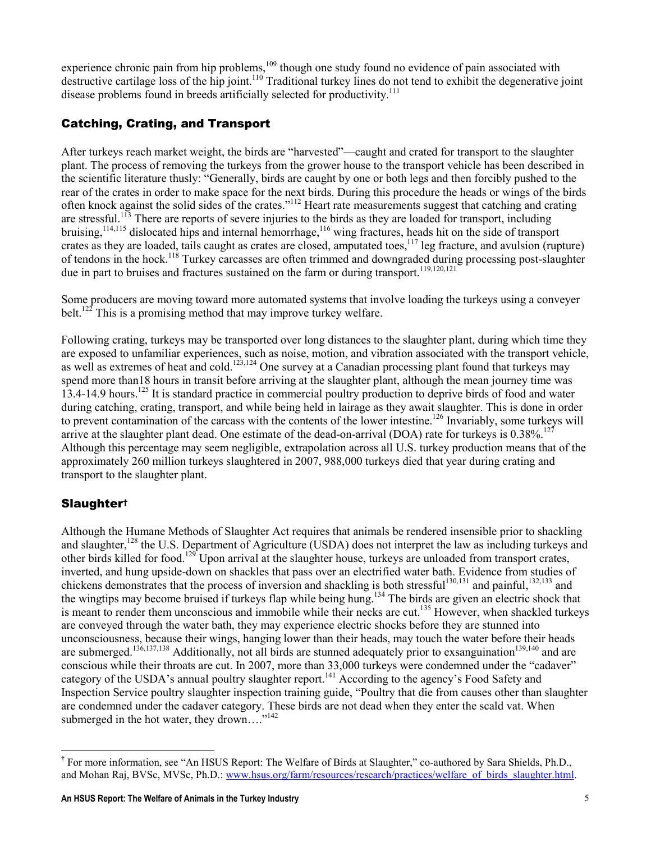experience chronic pain from hip problems,<sup>109</sup> though one study found no evidence of pain associated with destructive cartilage loss of the hip joint.<sup>110</sup> Traditional turkey lines do not tend to exhibit the degenerative joint disease problems found in breeds artificially selected for productivity.<sup>111</sup>

## Catching, Crating, and Transport

After turkeys reach market weight, the birds are "harvested"—caught and crated for transport to the slaughter plant. The process of removing the turkeys from the grower house to the transport vehicle has been described in the scientific literature thusly: "Generally, birds are caught by one or both legs and then forcibly pushed to the rear of the crates in order to make space for the next birds. During this procedure the heads or wings of the birds often knock against the solid sides of the crates."<sup>112</sup> Heart rate measurements suggest that catching and crating are stressful.<sup>113</sup> There are reports of severe injuries to the birds as they are loaded for transport, including bruising,<sup>114,115</sup> dislocated hips and internal hemorrhage,<sup>116</sup> wing fractures, heads hit on the side of transport crates as they are loaded, tails caught as crates are closed, amputated toes,<sup>117</sup> leg fracture, and avulsion (rupture) of tendons in the hock.<sup>118</sup> Turkey carcasses are often trimmed and downgraded during processing post-slaughter due in part to bruises and fractures sustained on the farm or during transport.<sup>119,120,121</sup>

Some producers are moving toward more automated systems that involve loading the turkeys using a conveyer belt.<sup>122</sup> This is a promising method that may improve turkey welfare.

Following crating, turkeys may be transported over long distances to the slaughter plant, during which time they are exposed to unfamiliar experiences, such as noise, motion, and vibration associated with the transport vehicle, as well as extremes of heat and cold.<sup>123,124</sup> One survey at a Canadian processing plant found that turkeys may spend more than18 hours in transit before arriving at the slaughter plant, although the mean journey time was 13.4-14.9 hours.<sup>125</sup> It is standard practice in commercial poultry production to deprive birds of food and water during catching, crating, transport, and while being held in lairage as they await slaughter. This is done in order to prevent contamination of the carcass with the contents of the lower intestine.<sup>126</sup> Invariably, some turkeys will arrive at the slaughter plant dead. One estimate of the dead-on-arrival (DOA) rate for turkeys is  $0.38\%$ <sup>127</sup> Although this percentage may seem negligible, extrapolation across all U.S. turkey production means that of the approximately 260 million turkeys slaughtered in 2007, 988,000 turkeys died that year during crating and transport to the slaughter plant.

# Slaughter†

Although the Humane Methods of Slaughter Act requires that animals be rendered insensible prior to shackling and slaughter,<sup>128</sup> the U.S. Department of Agriculture (USDA) does not interpret the law as including turkeys and other birds killed for food.<sup>129</sup> Upon arrival at the slaughter house, turkeys are unloaded from transport crates, inverted, and hung upside-down on shackles that pass over an electrified water bath. Evidence from studies of chickens demonstrates that the process of inversion and shackling is both stressful<sup>130,131</sup> and painful,<sup>132,133</sup> and the wingtips may become bruised if turkeys flap while being hung.<sup>134</sup> The birds are given an electric shock that is meant to render them unconscious and immobile while their necks are cut.<sup>135</sup> However, when shackled turkeys are conveyed through the water bath, they may experience electric shocks before they are stunned into unconsciousness, because their wings, hanging lower than their heads, may touch the water before their heads are submerged.<sup>136,137,138</sup> Additionally, not all birds are stunned adequately prior to exsanguination<sup>139,140</sup> and are conscious while their throats are cut. In 2007, more than 33,000 turkeys were condemned under the "cadaver" category of the USDA's annual poultry slaughter report.<sup>141</sup> According to the agency's Food Safety and Inspection Service poultry slaughter inspection training guide, "Poultry that die from causes other than slaughter are condemned under the cadaver category. These birds are not dead when they enter the scald vat. When submerged in the hot water, they drown...."<sup>142</sup>

 $\overline{a}$ † For more information, see "An HSUS Report: The Welfare of Birds at Slaughter," co-authored by Sara Shields, Ph.D., and Mohan Raj, BVSc, MVSc, Ph.D.: www.hsus.org/farm/resources/research/practices/welfare\_of\_birds\_slaughter.html.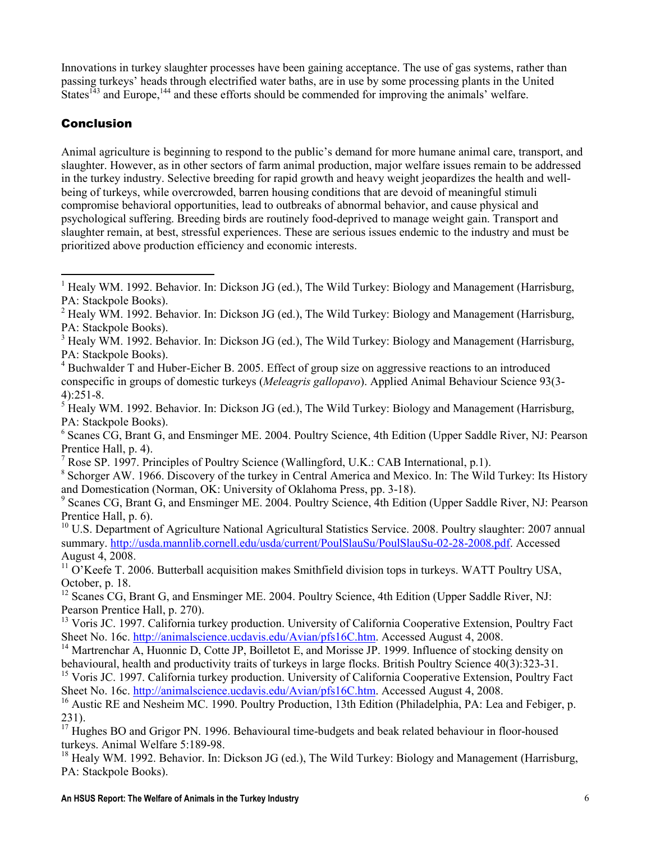Innovations in turkey slaughter processes have been gaining acceptance. The use of gas systems, rather than passing turkeys' heads through electrified water baths, are in use by some processing plants in the United States<sup> $143$ </sup> and Europe,  $144$  and these efforts should be commended for improving the animals' welfare.

### Conclusion

Animal agriculture is beginning to respond to the public's demand for more humane animal care, transport, and slaughter. However, as in other sectors of farm animal production, major welfare issues remain to be addressed in the turkey industry. Selective breeding for rapid growth and heavy weight jeopardizes the health and wellbeing of turkeys, while overcrowded, barren housing conditions that are devoid of meaningful stimuli compromise behavioral opportunities, lead to outbreaks of abnormal behavior, and cause physical and psychological suffering. Breeding birds are routinely food-deprived to manage weight gain. Transport and slaughter remain, at best, stressful experiences. These are serious issues endemic to the industry and must be prioritized above production efficiency and economic interests.

 $\overline{a}$ <sup>1</sup> Healy WM. 1992. Behavior. In: Dickson JG (ed.), The Wild Turkey: Biology and Management (Harrisburg, PA: Stackpole Books).

 $2$  Healy WM. 1992. Behavior. In: Dickson JG (ed.), The Wild Turkey: Biology and Management (Harrisburg, PA: Stackpole Books).

<sup>&</sup>lt;sup>3</sup> Healy WM. 1992. Behavior. In: Dickson JG (ed.), The Wild Turkey: Biology and Management (Harrisburg, PA: Stackpole Books).

<sup>&</sup>lt;sup>4</sup> Buchwalder T and Huber-Eicher B. 2005. Effect of group size on aggressive reactions to an introduced conspecific in groups of domestic turkeys (Meleagris gallopavo). Applied Animal Behaviour Science 93(3- 4):251-8.

<sup>&</sup>lt;sup>5</sup> Healy WM. 1992. Behavior. In: Dickson JG (ed.), The Wild Turkey: Biology and Management (Harrisburg, PA: Stackpole Books).

<sup>&</sup>lt;sup>6</sup> Scanes CG, Brant G, and Ensminger ME. 2004. Poultry Science, 4th Edition (Upper Saddle River, NJ: Pearson Prentice Hall, p. 4).

<sup>7</sup> Rose SP. 1997. Principles of Poultry Science (Wallingford, U.K.: CAB International, p.1).

<sup>8</sup> Schorger AW. 1966. Discovery of the turkey in Central America and Mexico. In: The Wild Turkey: Its History and Domestication (Norman, OK: University of Oklahoma Press, pp. 3-18).

<sup>&</sup>lt;sup>9</sup> Scanes CG, Brant G, and Ensminger ME. 2004. Poultry Science, 4th Edition (Upper Saddle River, NJ: Pearson Prentice Hall, p. 6).

<sup>&</sup>lt;sup>10</sup> U.S. Department of Agriculture National Agricultural Statistics Service. 2008. Poultry slaughter: 2007 annual summary. http://usda.mannlib.cornell.edu/usda/current/PoulSlauSu/PoulSlauSu-02-28-2008.pdf. Accessed August 4, 2008.

<sup>&</sup>lt;sup>11</sup> O'Keefe T. 2006. Butterball acquisition makes Smithfield division tops in turkeys. WATT Poultry USA, October, p. 18.

<sup>&</sup>lt;sup>12</sup> Scanes CG, Brant G, and Ensminger ME. 2004. Poultry Science, 4th Edition (Upper Saddle River, NJ: Pearson Prentice Hall, p. 270).

<sup>&</sup>lt;sup>13</sup> Voris JC. 1997. California turkey production. University of California Cooperative Extension, Poultry Fact Sheet No. 16c. http://animalscience.ucdavis.edu/Avian/pfs16C.htm. Accessed August 4, 2008.

<sup>&</sup>lt;sup>14</sup> Martrenchar  $\overline{A}$ , Huonnic D, Cotte JP, Boilletot E, and Morisse JP. 1999. Influence of stocking density on behavioural, health and productivity traits of turkeys in large flocks. British Poultry Science 40(3):323-31.

<sup>&</sup>lt;sup>15</sup> Voris JC. 1997. California turkey production. University of California Cooperative Extension, Poultry Fact Sheet No. 16c. http://animalscience.ucdavis.edu/Avian/pfs16C.htm. Accessed August 4, 2008.

<sup>&</sup>lt;sup>16</sup> Austic RE and Nesheim MC, 1990. Poultry Production, 13th Edition (Philadelphia, PA: Lea and Febiger, p. 231).

<sup>&</sup>lt;sup>17</sup> Hughes BO and Grigor PN. 1996. Behavioural time-budgets and beak related behaviour in floor-housed turkeys. Animal Welfare 5:189-98.

<sup>&</sup>lt;sup>18</sup> Healy WM. 1992. Behavior. In: Dickson JG (ed.), The Wild Turkey: Biology and Management (Harrisburg, PA: Stackpole Books).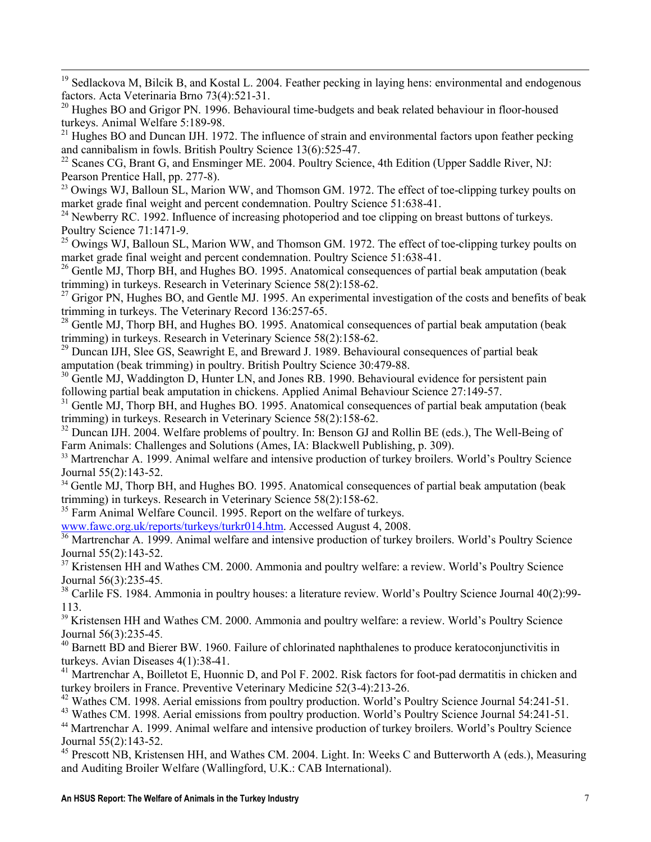-<sup>19</sup> Sedlackova M, Bilcik B, and Kostal L. 2004. Feather pecking in laying hens: environmental and endogenous factors. Acta Veterinaria Brno 73(4):521-31.

 $20$  Hughes BO and Grigor PN. 1996. Behavioural time-budgets and beak related behaviour in floor-housed turkeys. Animal Welfare 5:189-98.

 $21$  Hughes BO and Duncan IJH. 1972. The influence of strain and environmental factors upon feather pecking and cannibalism in fowls. British Poultry Science 13(6):525-47.

<sup>22</sup> Scanes CG, Brant G, and Ensminger ME. 2004. Poultry Science, 4th Edition (Upper Saddle River, NJ: Pearson Prentice Hall, pp. 277-8).

<sup>23</sup> Owings WJ, Balloun SL, Marion WW, and Thomson GM. 1972. The effect of toe-clipping turkey poults on market grade final weight and percent condemnation. Poultry Science 51:638-41.

<sup>24</sup> Newberry RC. 1992. Influence of increasing photoperiod and toe clipping on breast buttons of turkeys. Poultry Science 71:1471-9.

 $^{25}$  Owings WJ, Balloun SL, Marion WW, and Thomson GM. 1972. The effect of toe-clipping turkey poults on market grade final weight and percent condemnation. Poultry Science 51:638-41.

<sup>26</sup> Gentle MJ, Thorp BH, and Hughes BO. 1995. Anatomical consequences of partial beak amputation (beak trimming) in turkeys. Research in Veterinary Science 58(2):158-62.

 $27$  Grigor PN, Hughes BO, and Gentle MJ. 1995. An experimental investigation of the costs and benefits of beak trimming in turkeys. The Veterinary Record 136:257-65.

<sup>28</sup> Gentle MJ, Thorp BH, and Hughes BO. 1995. Anatomical consequences of partial beak amputation (beak trimming) in turkeys. Research in Veterinary Science 58(2):158-62.

<sup>29</sup> Duncan IJH, Slee GS, Seawright E, and Breward J. 1989. Behavioural consequences of partial beak amputation (beak trimming) in poultry. British Poultry Science 30:479-88.

<sup>30</sup> Gentle MJ, Waddington D, Hunter LN, and Jones RB, 1990. Behavioural evidence for persistent pain following partial beak amputation in chickens. Applied Animal Behaviour Science 27:149-57.

<sup>31</sup> Gentle MJ, Thorp BH, and Hughes BO. 1995. Anatomical consequences of partial beak amputation (beak trimming) in turkeys. Research in Veterinary Science 58(2):158-62.

<sup>32</sup> Duncan IJH. 2004. Welfare problems of poultry. In: Benson GJ and Rollin BE (eds.), The Well-Being of Farm Animals: Challenges and Solutions (Ames, IA: Blackwell Publishing, p. 309).

<sup>33</sup> Martrenchar A. 1999. Animal welfare and intensive production of turkey broilers. World's Poultry Science Journal 55(2):143-52.

<sup>34</sup> Gentle MJ, Thorp BH, and Hughes BO. 1995. Anatomical consequences of partial beak amputation (beak trimming) in turkeys. Research in Veterinary Science 58(2):158-62.

<sup>35</sup> Farm Animal Welfare Council. 1995. Report on the welfare of turkeys.

www.fawc.org.uk/reports/turkeys/turkr014.htm. Accessed August 4, 2008.

<sup>36</sup> Martrenchar A. 1999. Animal welfare and intensive production of turkey broilers. World's Poultry Science Journal 55(2):143-52.

<sup>37</sup> Kristensen HH and Wathes CM. 2000. Ammonia and poultry welfare: a review. World's Poultry Science Journal 56(3):235-45.

<sup>38</sup> Carlile FS. 1984. Ammonia in poultry houses: a literature review. World's Poultry Science Journal 40(2):99-113.

<sup>39</sup> Kristensen HH and Wathes CM. 2000. Ammonia and poultry welfare: a review. World's Poultry Science Journal 56(3):235-45.

<sup>40</sup> Barnett BD and Bierer BW. 1960. Failure of chlorinated naphthalenes to produce keratoconjunctivitis in turkeys. Avian Diseases 4(1):38-41.

<sup>41</sup> Martrenchar A, Boilletot E, Huonnic D, and Pol F. 2002. Risk factors for foot-pad dermatitis in chicken and turkey broilers in France. Preventive Veterinary Medicine 52(3-4):213-26.

<sup>42</sup> Wathes CM. 1998. Aerial emissions from poultry production. World's Poultry Science Journal 54:241-51.

<sup>43</sup> Wathes CM. 1998. Aerial emissions from poultry production. World's Poultry Science Journal 54:241-51.

<sup>44</sup> Martrenchar A. 1999. Animal welfare and intensive production of turkey broilers. World's Poultry Science Journal 55(2):143-52.

<sup>45</sup> Prescott NB, Kristensen HH, and Wathes CM. 2004. Light. In: Weeks C and Butterworth A (eds.), Measuring and Auditing Broiler Welfare (Wallingford, U.K.: CAB International).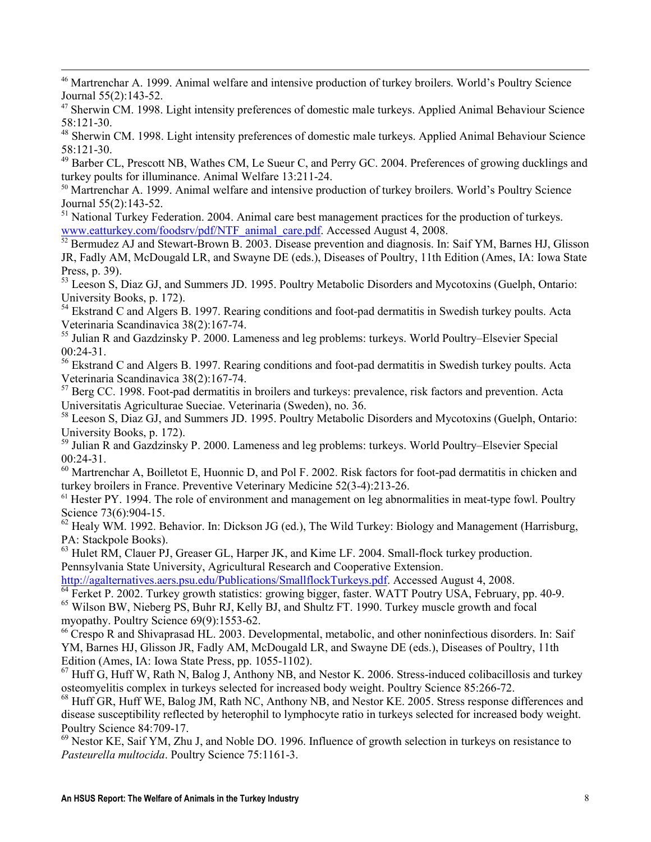-<sup>46</sup> Martrenchar A. 1999. Animal welfare and intensive production of turkey broilers. World's Poultry Science Journal 55(2):143-52.

- <sup>47</sup> Sherwin CM. 1998. Light intensity preferences of domestic male turkeys. Applied Animal Behaviour Science 58:121-30.
- <sup>48</sup> Sherwin CM. 1998. Light intensity preferences of domestic male turkeys. Applied Animal Behaviour Science 58:121-30.

<sup>49</sup> Barber CL, Prescott NB, Wathes CM, Le Sueur C, and Perry GC. 2004. Preferences of growing ducklings and turkey poults for illuminance. Animal Welfare 13:211-24.

<sup>50</sup> Martrenchar A. 1999. Animal welfare and intensive production of turkey broilers. World's Poultry Science Journal 55(2):143-52.

<sup>51</sup> National Turkey Federation. 2004. Animal care best management practices for the production of turkeys. www.eatturkey.com/foodsrv/pdf/NTF\_animal\_care.pdf. Accessed August 4, 2008.

<sup>52</sup> Bermudez AJ and Stewart-Brown B. 2003. Disease prevention and diagnosis. In: Saif YM, Barnes HJ, Glisson JR, Fadly AM, McDougald LR, and Swayne DE (eds.), Diseases of Poultry, 11th Edition (Ames, IA: Iowa State Press, p. 39).

<sup>53</sup> Leeson S, Diaz GJ, and Summers JD. 1995. Poultry Metabolic Disorders and Mycotoxins (Guelph, Ontario: University Books, p. 172).

<sup>54</sup> Ekstrand C and Algers B. 1997. Rearing conditions and foot-pad dermatitis in Swedish turkey poults. Acta Veterinaria Scandinavica 38(2):167-74.

<sup>55</sup> Julian R and Gazdzinsky P. 2000. Lameness and leg problems: turkeys. World Poultry–Elsevier Special  $00:24-31$ .

<sup>56</sup> Ekstrand C and Algers B. 1997. Rearing conditions and foot-pad dermatitis in Swedish turkey poults. Acta Veterinaria Scandinavica 38(2):167-74.

<sup>57</sup> Berg CC. 1998. Foot-pad dermatitis in broilers and turkeys: prevalence, risk factors and prevention. Acta Universitatis Agriculturae Sueciae. Veterinaria (Sweden), no. 36.

<sup>58</sup> Leeson S, Diaz GJ, and Summers JD. 1995. Poultry Metabolic Disorders and Mycotoxins (Guelph, Ontario: University Books, p. 172).

<sup>59</sup> Julian R and Gazdzinsky P. 2000. Lameness and leg problems: turkeys. World Poultry–Elsevier Special 00:24-31.

<sup>60</sup> Martrenchar A, Boilletot E, Huonnic D, and Pol F. 2002. Risk factors for foot-pad dermatitis in chicken and turkey broilers in France. Preventive Veterinary Medicine 52(3-4):213-26.

 $61$  Hester PY. 1994. The role of environment and management on leg abnormalities in meat-type fowl. Poultry Science 73(6):904-15.

 $62$  Healy WM. 1992. Behavior. In: Dickson JG (ed.), The Wild Turkey: Biology and Management (Harrisburg, PA: Stackpole Books).

<sup>63</sup> Hulet RM, Clauer PJ, Greaser GL, Harper JK, and Kime LF. 2004. Small-flock turkey production. Pennsylvania State University, Agricultural Research and Cooperative Extension.

http://agalternatives.aers.psu.edu/Publications/SmallflockTurkeys.pdf. Accessed August 4, 2008.

 $64$  Ferket P. 2002. Turkey growth statistics: growing bigger, faster. WATT Poutry USA, February, pp. 40-9. <sup>65</sup> Wilson BW, Nieberg PS, Buhr RJ, Kelly BJ, and Shultz FT. 1990. Turkey muscle growth and focal myopathy. Poultry Science 69(9):1553-62.

<sup>66</sup> Crespo R and Shivaprasad HL. 2003. Developmental, metabolic, and other noninfectious disorders. In: Saif YM, Barnes HJ, Glisson JR, Fadly AM, McDougald LR, and Swayne DE (eds.), Diseases of Poultry, 11th Edition (Ames, IA: Iowa State Press, pp. 1055-1102).

 $^{67}$  Huff G, Huff W, Rath N, Balog J, Anthony NB, and Nestor K. 2006. Stress-induced colibacillosis and turkey osteomyelitis complex in turkeys selected for increased body weight. Poultry Science 85:266-72.

<sup>68</sup> Huff GR, Huff WE, Balog JM, Rath NC, Anthony NB, and Nestor KE. 2005. Stress response differences and disease susceptibility reflected by heterophil to lymphocyte ratio in turkeys selected for increased body weight. Poultry Science 84:709-17.

<sup>69</sup> Nestor KE, Saif YM, Zhu J, and Noble DO. 1996. Influence of growth selection in turkeys on resistance to Pasteurella multocida. Poultry Science 75:1161-3.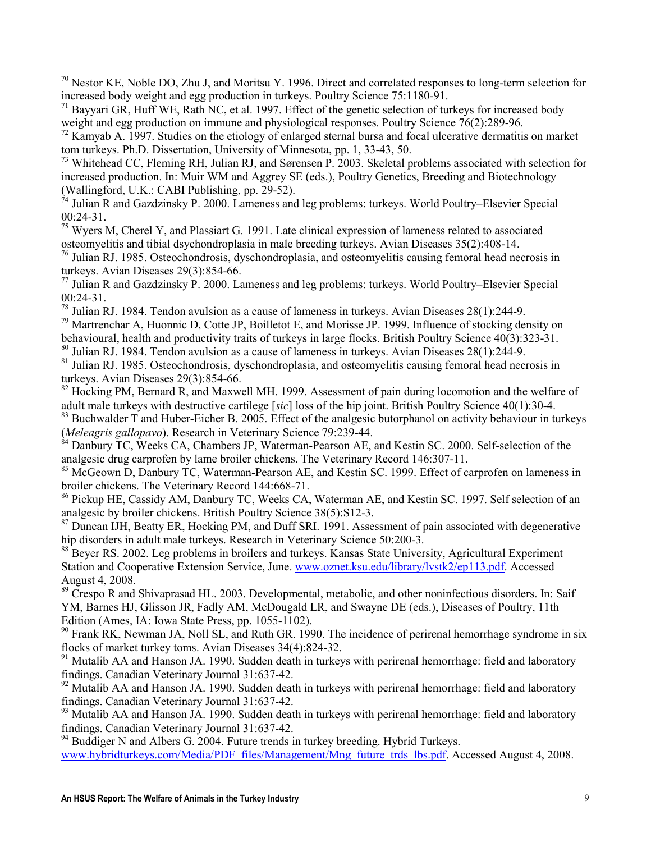$70$  Nestor KE, Noble DO, Zhu J, and Moritsu Y. 1996. Direct and correlated responses to long-term selection for increased body weight and egg production in turkeys. Poultry Science 75:1180-91.

 $71$  Bayyari GR, Huff WE, Rath NC, et al. 1997. Effect of the genetic selection of turkeys for increased body weight and egg production on immune and physiological responses. Poultry Science 76(2):289-96.

-

 $72$  Kamyab A. 1997. Studies on the etiology of enlarged sternal bursa and focal ulcerative dermatitis on market tom turkeys. Ph.D. Dissertation, University of Minnesota, pp. 1, 33-43, 50.

<sup>73</sup> Whitehead CC, Fleming RH, Julian RJ, and Sørensen P. 2003. Skeletal problems associated with selection for increased production. In: Muir WM and Aggrey SE (eds.), Poultry Genetics, Breeding and Biotechnology (Wallingford, U.K.: CABI Publishing, pp. 29-52).

 $\hat{7}^4$  Julian R and Gazdzinsky P. 2000. Lameness and leg problems: turkeys. World Poultry–Elsevier Special  $00:24-31$ .

 $75$  Wyers M, Cherel Y, and Plassiart G. 1991. Late clinical expression of lameness related to associated osteomyelitis and tibial dsychondroplasia in male breeding turkeys. Avian Diseases 35(2):408-14.

<sup>76</sup> Julian RJ. 1985. Osteochondrosis, dyschondroplasia, and osteomyelitis causing femoral head necrosis in turkeys. Avian Diseases 29(3):854-66.

 $^{77}$  Julian R and Gazdzinsky P. 2000. Lameness and leg problems: turkeys. World Poultry–Elsevier Special 00:24-31.

 $\frac{78}{18}$  Julian RJ. 1984. Tendon avulsion as a cause of lameness in turkeys. Avian Diseases 28(1):244-9.

<sup>79</sup> Martrenchar A, Huonnic D, Cotte JP, Boilletot E, and Morisse JP. 1999. Influence of stocking density on behavioural, health and productivity traits of turkeys in large flocks. British Poultry Science 40(3):323-31.

<sup>80</sup> Julian RJ. 1984. Tendon avulsion as a cause of lameness in turkeys. Avian Diseases 28(1):244-9.

<sup>81</sup> Julian RJ. 1985. Osteochondrosis, dyschondroplasia, and osteomyelitis causing femoral head necrosis in turkeys. Avian Diseases 29(3):854-66.

 $82$  Hocking PM, Bernard R, and Maxwell MH. 1999. Assessment of pain during locomotion and the welfare of adult male turkeys with destructive cartilege [sic] loss of the hip joint. British Poultry Science 40(1):30-4.

<sup>83</sup> Buchwalder T and Huber-Eicher B. 2005. Effect of the analgesic butorphanol on activity behaviour in turkeys (Meleagris gallopavo). Research in Veterinary Science 79:239-44.

<sup>84</sup> Danbury TC, Weeks CA, Chambers JP, Waterman-Pearson AE, and Kestin SC. 2000. Self-selection of the analgesic drug carprofen by lame broiler chickens. The Veterinary Record 146:307-11.

<sup>85</sup> McGeown D, Danbury TC, Waterman-Pearson AE, and Kestin SC. 1999. Effect of carprofen on lameness in broiler chickens. The Veterinary Record 144:668-71.

<sup>86</sup> Pickup HE, Cassidy AM, Danbury TC, Weeks CA, Waterman AE, and Kestin SC. 1997. Self selection of an analgesic by broiler chickens. British Poultry Science 38(5):S12-3.

<sup>87</sup> Duncan IJH, Beatty ER, Hocking PM, and Duff SRI. 1991. Assessment of pain associated with degenerative hip disorders in adult male turkeys. Research in Veterinary Science 50:200-3.

<sup>88</sup> Beyer RS. 2002. Leg problems in broilers and turkeys. Kansas State University, Agricultural Experiment Station and Cooperative Extension Service, June. www.oznet.ksu.edu/library/lvstk2/ep113.pdf. Accessed August 4, 2008.

<sup>89</sup> Crespo R and Shivaprasad HL. 2003. Developmental, metabolic, and other noninfectious disorders. In: Saif YM, Barnes HJ, Glisson JR, Fadly AM, McDougald LR, and Swayne DE (eds.), Diseases of Poultry, 11th Edition (Ames, IA: Iowa State Press, pp. 1055-1102).

 $90$  Frank RK, Newman JA, Noll SL, and Ruth GR. 1990. The incidence of perirenal hemorrhage syndrome in six flocks of market turkey toms. Avian Diseases 34(4):824-32.

<sup>91</sup> Mutalib AA and Hanson JA. 1990. Sudden death in turkeys with perirenal hemorrhage: field and laboratory findings. Canadian Veterinary Journal 31:637-42.

 $92$  Mutalib AA and Hanson JA. 1990. Sudden death in turkeys with perirenal hemorrhage: field and laboratory findings. Canadian Veterinary Journal 31:637-42.

<sup>93</sup> Mutalib AA and Hanson JA. 1990. Sudden death in turkeys with perirenal hemorrhage: field and laboratory findings. Canadian Veterinary Journal 31:637-42.

<sup>94</sup> Buddiger N and Albers G. 2004. Future trends in turkey breeding. Hybrid Turkeys. www.hybridturkeys.com/Media/PDF\_files/Management/Mng\_future\_trds\_lbs.pdf. Accessed August 4, 2008.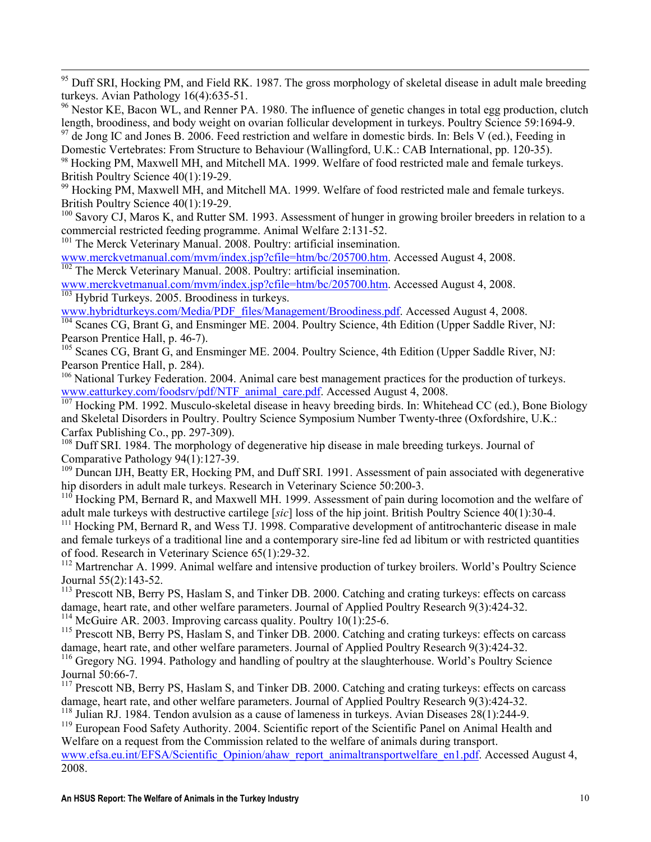-<sup>95</sup> Duff SRI, Hocking PM, and Field RK. 1987. The gross morphology of skeletal disease in adult male breeding turkeys. Avian Pathology 16(4):635-51.

<sup>96</sup> Nestor KE, Bacon WL, and Renner PA. 1980. The influence of genetic changes in total egg production, clutch length, broodiness, and body weight on ovarian follicular development in turkeys. Poultry Science 59:1694-9.

 $97$  de Jong IC and Jones B. 2006. Feed restriction and welfare in domestic birds. In: Bels V (ed.), Feeding in Domestic Vertebrates: From Structure to Behaviour (Wallingford, U.K.: CAB International, pp. 120-35).

<sup>98</sup> Hocking PM, Maxwell MH, and Mitchell MA. 1999. Welfare of food restricted male and female turkeys. British Poultry Science 40(1):19-29.

<sup>99</sup> Hocking PM, Maxwell MH, and Mitchell MA. 1999. Welfare of food restricted male and female turkeys. British Poultry Science 40(1):19-29.

<sup>100</sup> Savory CJ, Maros K, and Rutter SM. 1993. Assessment of hunger in growing broiler breeders in relation to a commercial restricted feeding programme. Animal Welfare 2:131-52.

<sup>101</sup> The Merck Veterinary Manual. 2008. Poultry: artificial insemination.

www.merckvetmanual.com/mvm/index.jsp?cfile=htm/bc/205700.htm. Accessed August 4, 2008. <sup>102</sup> The Merck Veterinary Manual. 2008. Poultry: artificial insemination.

www.merckvetmanual.com/mvm/index.jsp?cfile=htm/bc/205700.htm. Accessed August 4. 2008.  $\frac{103}{103}$  Hybrid Turkeys. 2005. Broodiness in turkeys.

www.hybridturkeys.com/Media/PDF\_files/Management/Broodiness.pdf. Accessed August 4, 2008.

<sup>104</sup> Scanes CG, Brant G, and Ensminger ME. 2004. Poultry Science, 4th Edition (Upper Saddle River, NJ: Pearson Prentice Hall, p. 46-7).

<sup>105</sup> Scanes CG, Brant G, and Ensminger ME. 2004. Poultry Science, 4th Edition (Upper Saddle River, NJ: Pearson Prentice Hall, p. 284).

<sup>106</sup> National Turkey Federation. 2004. Animal care best management practices for the production of turkeys. www.eatturkey.com/foodsrv/pdf/NTF\_animal\_care.pdf. Accessed August 4, 2008.

 $\frac{107}{107}$  Hocking PM. 1992. Musculo-skeletal disease in heavy breeding birds. In: Whitehead CC (ed.), Bone Biology and Skeletal Disorders in Poultry. Poultry Science Symposium Number Twenty-three (Oxfordshire, U.K.: Carfax Publishing Co., pp. 297-309).

 $108$  Duff SRI. 1984. The morphology of degenerative hip disease in male breeding turkeys. Journal of Comparative Pathology 94(1):127-39.

<sup>109</sup> Duncan IJH, Beatty ER, Hocking PM, and Duff SRI. 1991. Assessment of pain associated with degenerative hip disorders in adult male turkeys. Research in Veterinary Science 50:200-3.

 $110$  Hocking PM, Bernard R, and Maxwell MH. 1999. Assessment of pain during locomotion and the welfare of adult male turkeys with destructive cartilege [sic] loss of the hip joint. British Poultry Science 40(1):30-4.

<sup>111</sup> Hocking PM, Bernard R, and Wess TJ. 1998. Comparative development of antitrochanteric disease in male and female turkeys of a traditional line and a contemporary sire-line fed ad libitum or with restricted quantities of food. Research in Veterinary Science 65(1):29-32.

<sup>112</sup> Martrenchar A. 1999. Animal welfare and intensive production of turkey broilers. World's Poultry Science Journal 55(2):143-52.

<sup>113</sup> Prescott NB, Berry PS, Haslam S, and Tinker DB, 2000. Catching and crating turkeys: effects on carcass damage, heart rate, and other welfare parameters. Journal of Applied Poultry Research 9(3):424-32.

<sup>114</sup> McGuire AR. 2003. Improving carcass quality. Poultry  $10(1)$ : 25-6.

<sup>115</sup> Prescott NB, Berry PS, Haslam S, and Tinker DB. 2000. Catching and crating turkeys: effects on carcass damage, heart rate, and other welfare parameters. Journal of Applied Poultry Research 9(3):424-32.

<sup>116</sup> Gregory NG. 1994. Pathology and handling of poultry at the slaughterhouse. World's Poultry Science Journal 50:66-7.

<sup>117</sup> Prescott NB, Berry PS, Haslam S, and Tinker DB, 2000. Catching and crating turkeys: effects on carcass damage, heart rate, and other welfare parameters. Journal of Applied Poultry Research 9(3):424-32.

<sup>118</sup> Julian RJ. 1984. Tendon avulsion as a cause of lameness in turkeys. Avian Diseases  $28(1)$ :244-9.

<sup>119</sup> European Food Safety Authority. 2004. Scientific report of the Scientific Panel on Animal Health and Welfare on a request from the Commission related to the welfare of animals during transport.

www.efsa.eu.int/EFSA/Scientific\_Opinion/ahaw\_report\_animaltransportwelfare\_en1.pdf. Accessed August 4, 2008.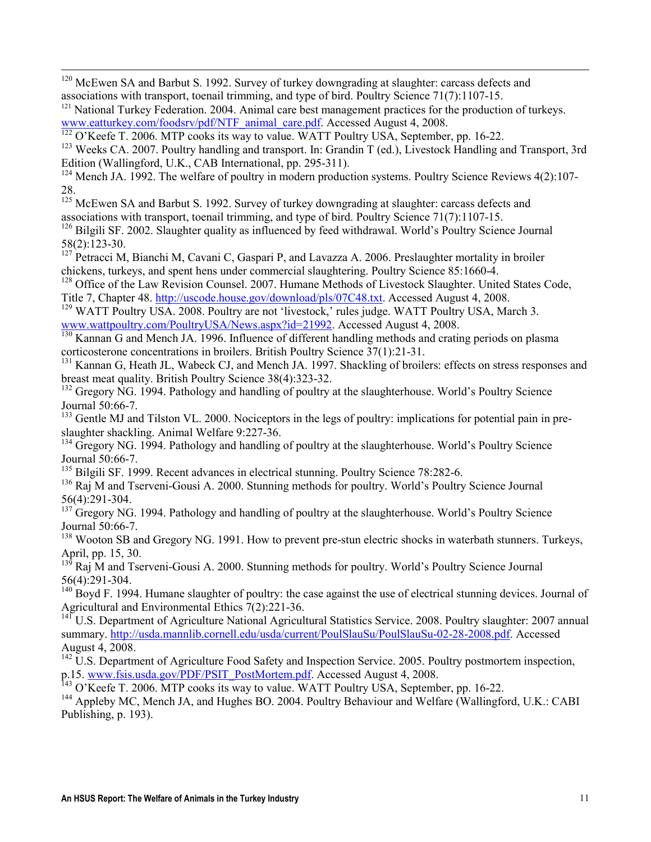-<sup>120</sup> McEwen SA and Barbut S. 1992. Survey of turkey downgrading at slaughter: carcass defects and associations with transport, toenail trimming, and type of bird. Poultry Science 71(7):1107-15.

<sup>121</sup> National Turkey Federation. 2004. Animal care best management practices for the production of turkeys. www.eatturkey.com/foodsrv/pdf/NTF\_animal\_care.pdf. Accessed August 4, 2008.

 $\frac{122}{122}$  O'Keefe T. 2006. MTP cooks its way to value. WATT Poultry USA, September, pp. 16-22.

<sup>123</sup> Weeks CA. 2007. Poultry handling and transport. In: Grandin T (ed.), Livestock Handling and Transport, 3rd Edition (Wallingford, U.K., CAB International, pp. 295-311).

 $124$  Mench JA. 1992. The welfare of poultry in modern production systems. Poultry Science Reviews 4(2):107-28.

<sup>125</sup> McEwen SA and Barbut S. 1992. Survey of turkey downgrading at slaughter: carcass defects and associations with transport, toenail trimming, and type of bird. Poultry Science 71(7):1107-15.

<sup>126</sup> Bilgili SF, 2002. Slaughter quality as influenced by feed withdrawal. World's Poultry Science Journal 58(2):123-30.

<sup>127</sup> Petracci M, Bianchi M, Cavani C, Gaspari P, and Lavazza A. 2006. Preslaughter mortality in broiler chickens, turkeys, and spent hens under commercial slaughtering. Poultry Science 85:1660-4.

<sup>128</sup> Office of the Law Revision Counsel. 2007. Humane Methods of Livestock Slaughter. United States Code, Title 7, Chapter 48. http://uscode.house.gov/download/pls/07C48.txt. Accessed August 4, 2008.

129 WATT Poultry USA. 2008. Poultry are not 'livestock,' rules judge. WATT Poultry USA, March 3. www.wattpoultry.com/PoultryUSA/News.aspx?id=21992. Accessed August 4, 2008.

<sup>130</sup> Kannan G and Mench JA. 1996. Influence of different handling methods and crating periods on plasma corticosterone concentrations in broilers. British Poultry Science 37(1):21-31.

<sup>131</sup> Kannan G, Heath JL, Wabeck CJ, and Mench JA. 1997. Shackling of broilers: effects on stress responses and breast meat quality. British Poultry Science 38(4):323-32.

<sup>132</sup> Gregory NG. 1994. Pathology and handling of poultry at the slaughterhouse. World's Poultry Science Journal 50:66-7.

<sup>133</sup> Gentle MJ and Tilston VL. 2000. Nociceptors in the legs of poultry: implications for potential pain in preslaughter shackling. Animal Welfare 9:227-36.

<sup>134</sup> Gregory NG. 1994. Pathology and handling of poultry at the slaughterhouse. World's Poultry Science Journal 50:66-7.

<sup>135</sup> Bilgili SF. 1999. Recent advances in electrical stunning. Poultry Science 78:282-6.

<sup>136</sup> Raj M and Tserveni-Gousi A. 2000. Stunning methods for poultry. World's Poultry Science Journal 56(4):291-304.

<sup>137</sup> Gregory NG. 1994. Pathology and handling of poultry at the slaughterhouse. World's Poultry Science Journal 50:66-7.

<sup>138</sup> Wooton SB and Gregory NG. 1991. How to prevent pre-stun electric shocks in waterbath stunners. Turkeys, April, pp. 15, 30.

<sup>139</sup> Raj M and Tserveni-Gousi A. 2000. Stunning methods for poultry. World's Poultry Science Journal 56(4):291-304.

 $140$  Boyd F. 1994. Humane slaughter of poultry: the case against the use of electrical stunning devices. Journal of Agricultural and Environmental Ethics 7(2):221-36.

<sup>141</sup> U.S. Department of Agriculture National Agricultural Statistics Service. 2008. Poultry slaughter: 2007 annual summary. http://usda.mannlib.cornell.edu/usda/current/PoulSlauSu/PoulSlauSu-02-28-2008.pdf. Accessed August 4, 2008.

 $142$  U.S. Department of Agriculture Food Safety and Inspection Service. 2005. Poultry postmortem inspection, p.15. www.fsis.usda.gov/PDF/PSIT\_PostMortem.pdf. Accessed August 4, 2008.

 $143$  O'Keefe T. 2006. MTP cooks its way to value. WATT Poultry USA, September, pp. 16-22.

<sup>144</sup> Appleby MC, Mench JA, and Hughes BO. 2004. Poultry Behaviour and Welfare (Wallingford, U.K.: CABI Publishing, p. 193).